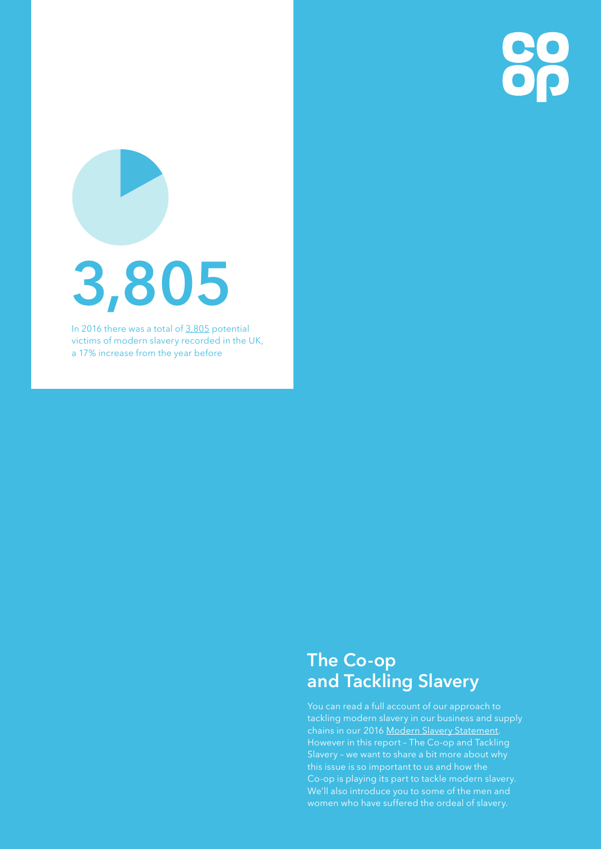

# **3,805**

In 2016 there was a total of [3,805](http://www.antislaverycommissioner.co.uk/media/1133/2016-nrm-end-of-year-summary.pdf) potential victims of modern slavery recorded in the UK, a 17% increase from the year before

### **The Co-op and Tackling Slavery**

You can read a full account of our approach to tackling modern slavery in our business and supply chains in our 2016 [Modern Slavery Statement.](http://www.co-operative.coop/downloads/co-op-modern-slavery-statement.pdf) However in this report – The Co-op and Tackling Slavery – we want to share a bit more about why this issue is so important to us and how the Co-op is playing its part to tackle modern slavery. We'll also introduce you to some of the men and women who have suffered the ordeal of slavery.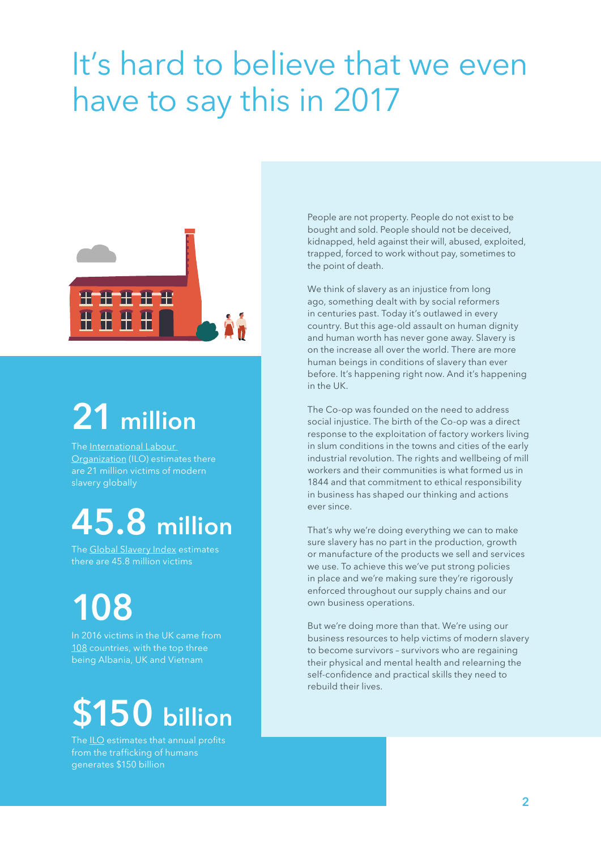### It's hard to believe that we even have to say this in 2017



## **21 million**

The International Labour [Organization](http://www.ilo.org/global/about-the-ilo/newsroom/news/WCMS_181961/lang--en/index.htm) (ILO) estimates there are 21 million victims of modern slavery globally

### **45.8 million**

The [Global Slavery Index](http://www.globalslaveryindex.org/findings/) estimates there are 45.8 million victims

**108**

In 2016 victims in the UK came from [108](http://www.antislaverycommissioner.co.uk/media/1133/2016-nrm-end-of-year-summary.pdf) countries, with the top three being Albania, UK and Vietnam

# **\$150 billion**

The [ILO](http://www.ilo.org/global/about-the-ilo/newsroom/news/WCMS_243201/lang--en/index.htm) estimates that annual profits from the trafficking of humans generates \$150 billion

People are not property. People do not exist to be bought and sold. People should not be deceived, kidnapped, held against their will, abused, exploited, trapped, forced to work without pay, sometimes to the point of death.

We think of slavery as an injustice from long ago, something dealt with by social reformers in centuries past. Today it's outlawed in every country. But this age-old assault on human dignity and human worth has never gone away. Slavery is on the increase all over the world. There are more human beings in conditions of slavery than ever before. It's happening right now. And it's happening in the UK.

The Co-op was founded on the need to address social injustice. The birth of the Co-op was a direct response to the exploitation of factory workers living in slum conditions in the towns and cities of the early industrial revolution. The rights and wellbeing of mill workers and their communities is what formed us in 1844 and that commitment to ethical responsibility in business has shaped our thinking and actions ever since.

That's why we're doing everything we can to make sure slavery has no part in the production, growth or manufacture of the products we sell and services we use. To achieve this we've put strong policies in place and we're making sure they're rigorously enforced throughout our supply chains and our own business operations.

But we're doing more than that. We're using our business resources to help victims of modern slavery to become survivors – survivors who are regaining their physical and mental health and relearning the self-confidence and practical skills they need to rebuild their lives.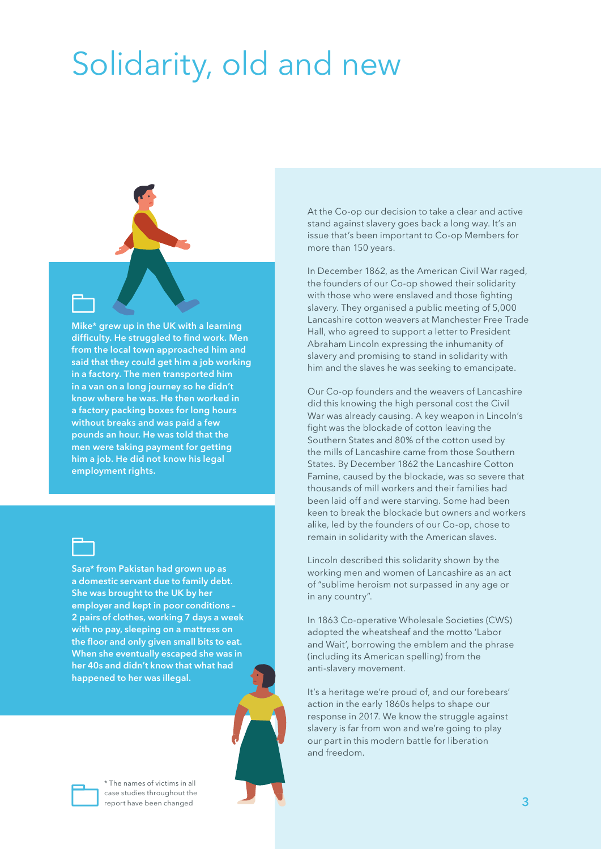## Solidarity, old and new



**Mike\* grew up in the UK with a learning difficulty. He struggled to find work. Men from the local town approached him and said that they could get him a job working in a factory. The men transported him in a van on a long journey so he didn't know where he was. He then worked in a factory packing boxes for long hours without breaks and was paid a few pounds an hour. He was told that the men were taking payment for getting him a job. He did not know his legal employment rights.**



**Sara\* from Pakistan had grown up as a domestic servant due to family debt. She was brought to the UK by her employer and kept in poor conditions – 2 pairs of clothes, working 7 days a week with no pay, sleeping on a mattress on the floor and only given small bits to eat. When she eventually escaped she was in her 40s and didn't know that what had happened to her was illegal.**



\* The names of victims in all case studies throughout the report have been changed

At the Co-op our decision to take a clear and active stand against slavery goes back a long way. It's an issue that's been important to Co-op Members for more than 150 years.

In December 1862, as the American Civil War raged, the founders of our Co-op showed their solidarity with those who were enslaved and those fighting slavery. They organised a public meeting of 5,000 Lancashire cotton weavers at Manchester Free Trade Hall, who agreed to support a letter to President Abraham Lincoln expressing the inhumanity of slavery and promising to stand in solidarity with him and the slaves he was seeking to emancipate.

Our Co-op founders and the weavers of Lancashire did this knowing the high personal cost the Civil War was already causing. A key weapon in Lincoln's fight was the blockade of cotton leaving the Southern States and 80% of the cotton used by the mills of Lancashire came from those Southern States. By December 1862 the Lancashire Cotton Famine, caused by the blockade, was so severe that thousands of mill workers and their families had been laid off and were starving. Some had been keen to break the blockade but owners and workers alike, led by the founders of our Co-op, chose to remain in solidarity with the American slaves.

Lincoln described this solidarity shown by the working men and women of Lancashire as an act of "sublime heroism not surpassed in any age or in any country".

In 1863 Co-operative Wholesale Societies (CWS) adopted the wheatsheaf and the motto 'Labor and Wait', borrowing the emblem and the phrase (including its American spelling) from the anti-slavery movement.

It's a heritage we're proud of, and our forebears' action in the early 1860s helps to shape our response in 2017. We know the struggle against slavery is far from won and we're going to play our part in this modern battle for liberation and freedom.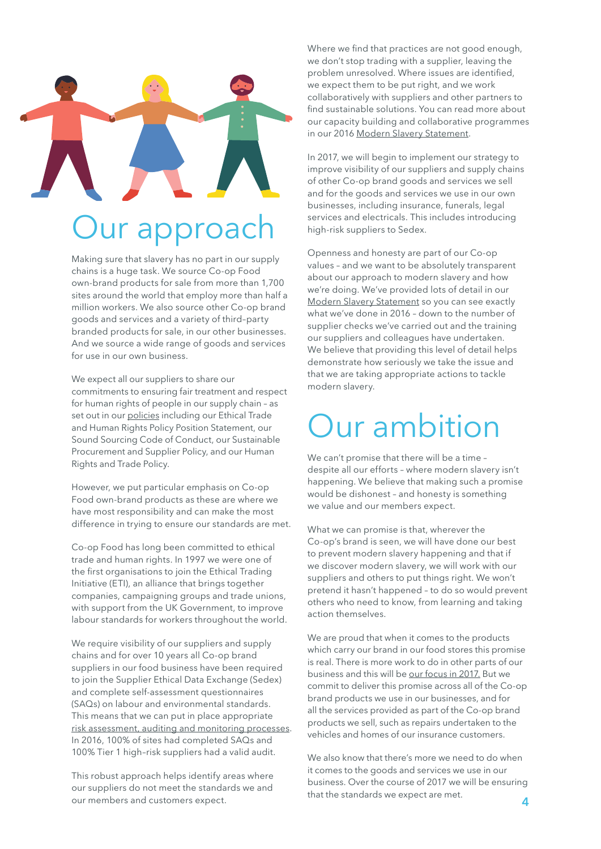# **Jur approac**

#### Making sure that slavery has no part in our supply chains is a huge task. We source Co-op Food own-brand products for sale from more than 1,700 sites around the world that employ more than half a

million workers. We also source other Co-op brand goods and services and a variety of third–party branded products for sale, in our other businesses. And we source a wide range of goods and services for use in our own business.

We expect all our suppliers to share our commitments to ensuring fair treatment and respect for human rights of people in our supply chain – as set out in our [policies](http://www.co-operative.coop/downloads/co-op-modern-slavery-statement.pdf#page=4) including our Ethical Trade and Human Rights Policy Position Statement, our Sound Sourcing Code of Conduct, our Sustainable Procurement and Supplier Policy, and our Human Rights and Trade Policy.

However, we put particular emphasis on Co-op Food own-brand products as these are where we have most responsibility and can make the most difference in trying to ensure our standards are met.

Co-op Food has long been committed to ethical trade and human rights. In 1997 we were one of the first organisations to join the Ethical Trading Initiative (ETI), an alliance that brings together companies, campaigning groups and trade unions, with support from the UK Government, to improve labour standards for workers throughout the world.

We require visibility of our suppliers and supply chains and for over 10 years all Co-op brand suppliers in our food business have been required to join the Supplier Ethical Data Exchange (Sedex) and complete self-assessment questionnaires (SAQs) on labour and environmental standards. This means that we can put in place appropriate [risk assessment, auditing and monitoring processes](http://www.co-operative.coop/downloads/co-op-modern-slavery-statement.pdf#page=5). In 2016, 100% of sites had completed SAQs and 100% Tier 1 high–risk suppliers had a valid audit.

This robust approach helps identify areas where our suppliers do not meet the standards we and our members and customers expect.

Where we find that practices are not good enough, we don't stop trading with a supplier, leaving the problem unresolved. Where issues are identified, we expect them to be put right, and we work collaboratively with suppliers and other partners to find sustainable solutions. You can read more about our capacity building and collaborative programmes in our 2016 [Modern Slavery Statement](http://www.co-operative.coop/downloads/co-op-modern-slavery-statement.pdf).

In 2017, we will begin to implement our strategy to improve visibility of our suppliers and supply chains of other Co-op brand goods and services we sell and for the goods and services we use in our own businesses, including insurance, funerals, legal services and electricals. This includes introducing high-risk suppliers to Sedex.

Openness and honesty are part of our Co-op values – and we want to be absolutely transparent about our approach to modern slavery and how we're doing. We've provided lots of detail in our [Modern Slavery Statement](http://www.co-operative.coop/downloads/co-op-modern-slavery-statement.pdf) so you can see exactly what we've done in 2016 – down to the number of supplier checks we've carried out and the training our suppliers and colleagues have undertaken. We believe that providing this level of detail helps demonstrate how seriously we take the issue and that we are taking appropriate actions to tackle modern slavery.

### Our ambition

We can't promise that there will be a time – despite all our efforts – where modern slavery isn't happening. We believe that making such a promise would be dishonest – and honesty is something we value and our members expect.

What we can promise is that, wherever the Co-op's brand is seen, we will have done our best to prevent modern slavery happening and that if we discover modern slavery, we will work with our suppliers and others to put things right. We won't pretend it hasn't happened – to do so would prevent others who need to know, from learning and taking action themselves.

We are proud that when it comes to the products which carry our brand in our food stores this promise is real. There is more work to do in other parts of our business and this will be [our focus in 2017.](http://www.co-operative.coop/downloads/co-op-modern-slavery-statement.pdf#page=9) But we commit to deliver this promise across all of the Co-op brand products we use in our businesses, and for all the services provided as part of the Co-op brand products we sell, such as repairs undertaken to the vehicles and homes of our insurance customers.

We also know that there's more we need to do when it comes to the goods and services we use in our business. Over the course of 2017 we will be ensuring that the standards we expect are met.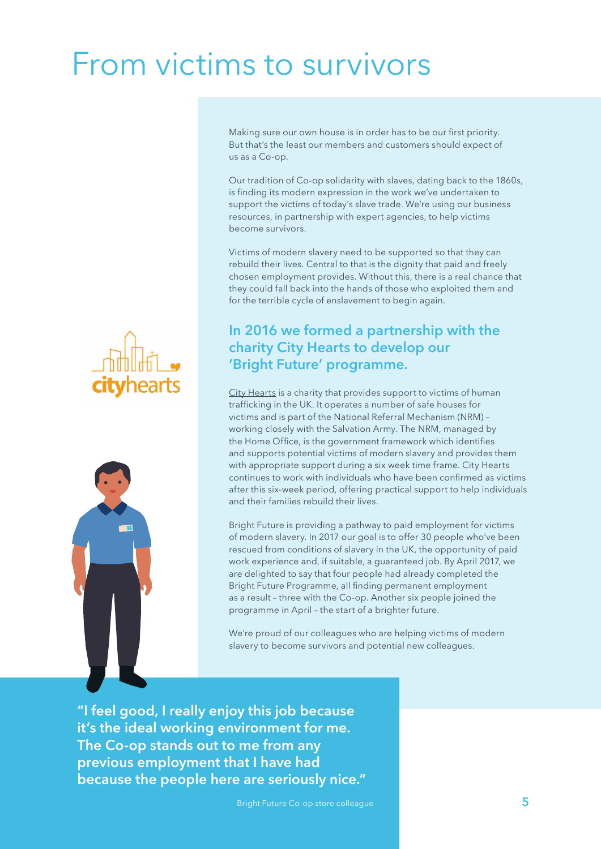### From victims to survivors

Making sure our own house is in order has to be our first priority. But that's the least our members and customers should expect of us as a Co-op.

Our tradition of Co-op solidarity with slaves, dating back to the 1860s, is finding its modern expression in the work we've undertaken to support the victims of today's slave trade. We're using our business resources, in partnership with expert agencies, to help victims become survivors.

Victims of modern slavery need to be supported so that they can rebuild their lives. Central to that is the dignity that paid and freely chosen employment provides. Without this, there is a real chance that they could fall back into the hands of those who exploited them and for the terrible cycle of enslavement to begin again.

### **In 2016 we formed a partnership with the charity City Hearts to develop our 'Bright Future' programme.**

[City Hearts](http://city-hearts.co.uk/) is a charity that provides support to victims of human trafficking in the UK. It operates a number of safe houses for victims and is part of the National Referral Mechanism (NRM) – working closely with the Salvation Army. The NRM, managed by the Home Office, is the government framework which identifies and supports potential victims of modern slavery and provides them with appropriate support during a six week time frame. City Hearts continues to work with individuals who have been confirmed as victims after this six-week period, offering practical support to help individuals and their families rebuild their lives.

Bright Future is providing a pathway to paid employment for victims of modern slavery. In 2017 our goal is to offer 30 people who've been rescued from conditions of slavery in the UK, the opportunity of paid work experience and, if suitable, a guaranteed job. By April 2017, we are delighted to say that four people had already completed the Bright Future Programme, all finding permanent employment as a result – three with the Co-op. Another six people joined the programme in April – the start of a brighter future.

We're proud of our colleagues who are helping victims of modern slavery to become survivors and potential new colleagues.

previous employment that I have had **"I feel good, I really enjoy this job because it's the ideal working environment for me. The Co-op stands out to me from any because the people here are seriously nice."**



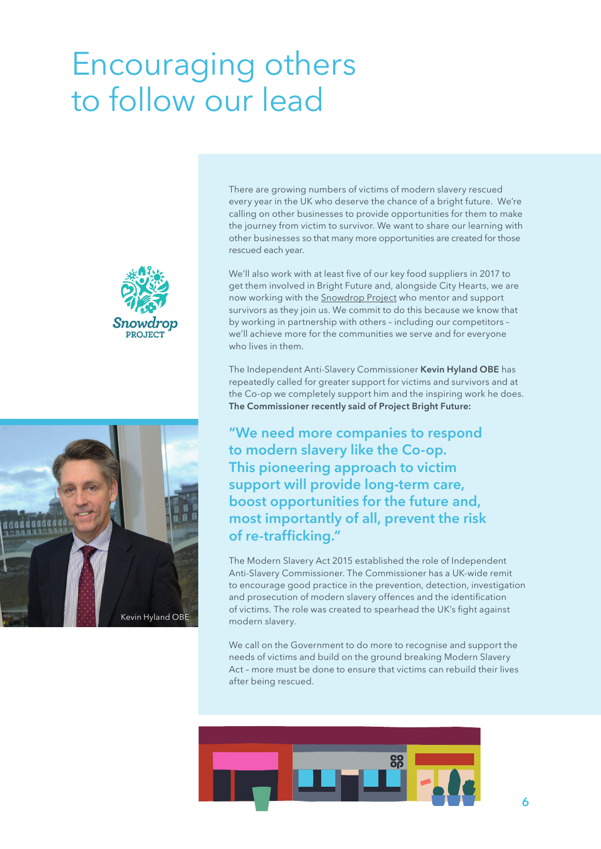### Encouraging others to follow our lead





There are growing numbers of victims of modern slavery rescued every year in the UK who deserve the chance of a bright future. We're calling on other businesses to provide opportunities for them to make the journey from victim to survivor. We want to share our learning with other businesses so that many more opportunities are created for those rescued each year.

We'll also work with at least five of our key food suppliers in 2017 to get them involved in Bright Future and, alongside City Hearts, we are now working with the [Snowdrop Project](http://snowdropproject.co.uk/) who mentor and support survivors as they join us. We commit to do this because we know that by working in partnership with others – including our competitors – we'll achieve more for the communities we serve and for everyone who lives in them.

The Independent Anti-Slavery Commissioner **Kevin Hyland OBE** has repeatedly called for greater support for victims and survivors and at the Co-op we completely support him and the inspiring work he does. **The Commissioner recently said of Project Bright Future:**

**"We need more companies to respond to modern slavery like the Co-op. This pioneering approach to victim support will provide long-term care, boost opportunities for the future and, most importantly of all, prevent the risk of re-trafficking."**

The Modern Slavery Act 2015 established the role of Independent Anti-Slavery Commissioner. The Commissioner has a UK-wide remit to encourage good practice in the prevention, detection, investigation and prosecution of modern slavery offences and the identification of victims. The role was created to spearhead the UK's fight against modern slavery.

We call on the Government to do more to recognise and support the needs of victims and build on the ground breaking Modern Slavery Act – more must be done to ensure that victims can rebuild their lives after being rescued.